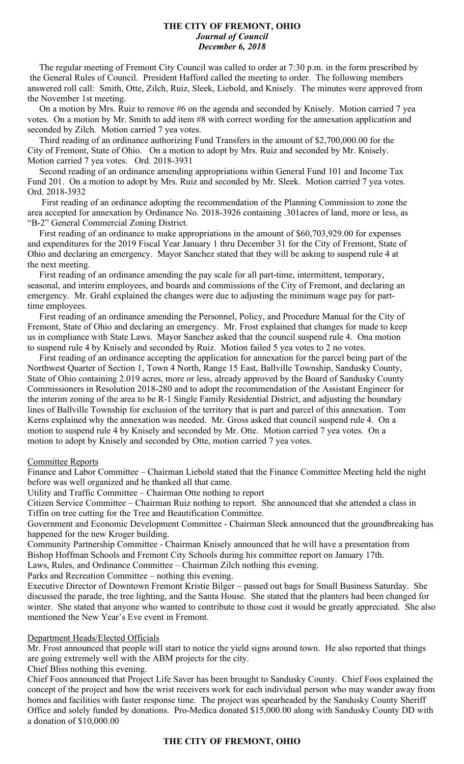#### **THE CITY OF FREMONT, OHIO** *Journal of Council December 6, 2018*

 The regular meeting of Fremont City Council was called to order at 7:30 p.m. in the form prescribed by the General Rules of Council. President Hafford called the meeting to order. The following members answered roll call: Smith, Otte, Zilch, Ruiz, Sleek, Liebold, and Knisely. The minutes were approved from the November 1st meeting.

 On a motion by Mrs. Ruiz to remove #6 on the agenda and seconded by Knisely. Motion carried 7 yea votes. On a motion by Mr. Smith to add item #8 with correct wording for the annexation application and seconded by Zilch. Motion carried 7 yea votes.

 Third reading of an ordinance authorizing Fund Transfers in the amount of \$2,700,000.00 for the City of Fremont, State of Ohio. On a motion to adopt by Mrs. Ruiz and seconded by Mr. Knisely. Motion carried 7 yea votes. Ord. 2018-3931

 Second reading of an ordinance amending appropriations within General Fund 101 and Income Tax Fund 201. On a motion to adopt by Mrs. Ruiz and seconded by Mr. Sleek. Motion carried 7 yea votes. Ord. 2018-3932

 First reading of an ordinance adopting the recommendation of the Planning Commission to zone the area accepted for annexation by Ordinance No. 2018-3926 containing .301acres of land, more or less, as "B-2" General Commercial Zoning District.

 First reading of an ordinance to make appropriations in the amount of \$60,703,929.00 for expenses and expenditures for the 2019 Fiscal Year January 1 thru December 31 for the City of Fremont, State of Ohio and declaring an emergency. Mayor Sanchez stated that they will be asking to suspend rule 4 at the next meeting.

 First reading of an ordinance amending the pay scale for all part-time, intermittent, temporary, seasonal, and interim employees, and boards and commissions of the City of Fremont, and declaring an emergency. Mr. Grahl explained the changes were due to adjusting the minimum wage pay for parttime employees.

 First reading of an ordinance amending the Personnel, Policy, and Procedure Manual for the City of Fremont, State of Ohio and declaring an emergency. Mr. Frost explained that changes for made to keep us in compliance with State Laws. Mayor Sanchez asked that the council suspend rule 4. Ona motion to suspend rule 4 by Knisely and seconded by Ruiz. Motion failed 5 yea votes to 2 no votes.

 First reading of an ordinance accepting the application for annexation for the parcel being part of the Northwest Quarter of Section 1, Town 4 North, Range 15 East, Ballville Township, Sandusky County, State of Ohio containing 2.019 acres, more or less, already approved by the Board of Sandusky County Commissioners in Resolution 2018-280 and to adopt the recommendation of the Assistant Engineer for the interim zoning of the area to be R-1 Single Family Residential District, and adjusting the boundary lines of Ballville Township for exclusion of the territory that is part and parcel of this annexation. Tom Kerns explained why the annexation was needed. Mr. Gross asked that council suspend rule 4. On a motion to suspend rule 4 by Knisely and seconded by Mr. Otte. Motion carried 7 yea votes. On a motion to adopt by Knisely and seconded by Otte, motion carried 7 yea votes.

### Committee Reports

Finance and Labor Committee – Chairman Liebold stated that the Finance Committee Meeting held the night before was well organized and he thanked all that came.

Utility and Traffic Committee – Chairman Otte nothing to report

Citizen Service Committee – Chairman Ruiz nothing to report. She announced that she attended a class in Tiffin on tree cutting for the Tree and Beautification Committee.

Government and Economic Development Committee - Chairman Sleek announced that the groundbreaking has happened for the new Kroger building.

Community Partnership Committee - Chairman Knisely announced that he will have a presentation from Bishop Hoffman Schools and Fremont City Schools during his committee report on January 17th.

Laws, Rules, and Ordinance Committee – Chairman Zilch nothing this evening.

Parks and Recreation Committee – nothing this evening.

Executive Director of Downtown Fremont Kristie Bilger – passed out bags for Small Business Saturday. She discussed the parade, the tree lighting, and the Santa House. She stated that the planters had been changed for winter. She stated that anyone who wanted to contribute to those cost it would be greatly appreciated. She also mentioned the New Year's Eve event in Fremont.

### Department Heads/Elected Officials

Mr. Frost announced that people will start to notice the yield signs around town. He also reported that things are going extremely well with the ABM projects for the city.

Chief Bliss nothing this evening.

Chief Foos announced that Project Life Saver has been brought to Sandusky County. Chief Foos explained the concept of the project and how the wrist receivers work for each individual person who may wander away from homes and facilities with faster response time. The project was spearheaded by the Sandusky County Sheriff Office and solely funded by donations. Pro-Medica donated \$15,000.00 along with Sandusky County DD with a donation of \$10,000.00

### **THE CITY OF FREMONT, OHIO**